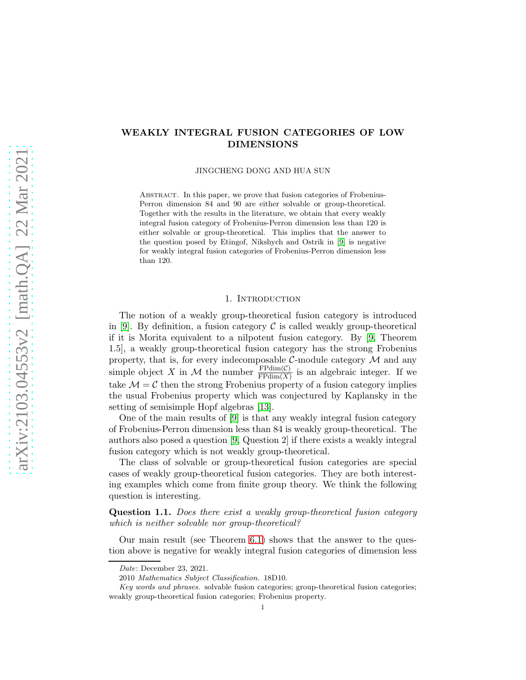# WEAKLY INTEGRAL FUSION CATEGORIES OF LOW DIMENSIONS

JINGCHENG DONG AND HUA SUN

Abstract. In this paper, we prove that fusion categories of Frobenius-Perron dimension 84 and 90 are either solvable or group-theoretical. Together with the results in the literature, we obtain that every weakly integral fusion category of Frobenius-Perron dimension less than 120 is either solvable or group-theoretical. This implies that the answer to the question posed by Etingof, Nikshych and Ostrik in [\[9\]](#page-14-0) is negative for weakly integral fusion categories of Frobenius-Perron dimension less than 120.

#### 1. INTRODUCTION

The notion of a weakly group-theoretical fusion category is introduced in [\[9\]](#page-14-0). By definition, a fusion category  $\mathcal C$  is called weakly group-theoretical if it is Morita equivalent to a nilpotent fusion category. By [\[9,](#page-14-0) Theorem 1.5], a weakly group-theoretical fusion category has the strong Frobenius property, that is, for every indecomposable  $\mathcal{C}$ -module category  $\mathcal M$  and any simple object X in M the number  $\frac{\text{FPdim}(\mathcal{C})}{\text{FPdim}(X)}$  is an algebraic integer. If we take  $M = C$  then the strong Frobenius property of a fusion category implies the usual Frobenius property which was conjectured by Kaplansky in the setting of semisimple Hopf algebras [\[13\]](#page-14-1).

One of the main results of [\[9\]](#page-14-0) is that any weakly integral fusion category of Frobenius-Perron dimension less than 84 is weakly group-theoretical. The authors also posed a question [\[9,](#page-14-0) Question 2] if there exists a weakly integral fusion category which is not weakly group-theoretical.

The class of solvable or group-theoretical fusion categories are special cases of weakly group-theoretical fusion categories. They are both interesting examples which come from finite group theory. We think the following question is interesting.

Question 1.1. *Does there exist a weakly group-theoretical fusion category which is neither solvable nor group-theoretical?*

Our main result (see Theorem [6.1\)](#page-13-0) shows that the answer to the question above is negative for weakly integral fusion categories of dimension less

Date: December 23, 2021.

<sup>2010</sup> Mathematics Subject Classification. 18D10.

Key words and phrases. solvable fusion categories; group-theoretical fusion categories; weakly group-theoretical fusion categories; Frobenius property.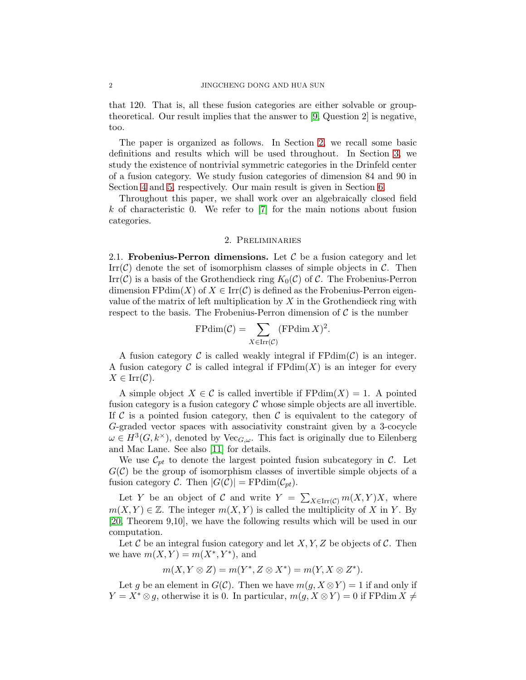that 120. That is, all these fusion categories are either solvable or grouptheoretical. Our result implies that the answer to [\[9,](#page-14-0) Question 2] is negative, too.

The paper is organized as follows. In Section [2,](#page-1-0) we recall some basic definitions and results which will be used throughout. In Section [3,](#page-6-0) we study the existence of nontrivial symmetric categories in the Drinfeld center of a fusion category. We study fusion categories of dimension 84 and 90 in Section [4](#page-10-0) and [5,](#page-11-0) respectively. Our main result is given in Section [6.](#page-13-1)

Throughout this paper, we shall work over an algebraically closed field  $k$  of characteristic 0. We refer to  $[7]$  for the main notions about fusion categories.

## 2. Preliminaries

<span id="page-1-0"></span>2.1. Frobenius-Perron dimensions. Let  $\mathcal C$  be a fusion category and let  $\text{Irr}(\mathcal{C})$  denote the set of isomorphism classes of simple objects in  $\mathcal{C}$ . Then  $\text{Irr}(\mathcal{C})$  is a basis of the Grothendieck ring  $K_0(\mathcal{C})$  of  $\mathcal{C}$ . The Frobenius-Perron dimension  $FPdim(X)$  of  $X \in \text{Irr}(\mathcal{C})$  is defined as the Frobenius-Perron eigenvalue of the matrix of left multiplication by  $X$  in the Grothendieck ring with respect to the basis. The Frobenius-Perron dimension of  $\mathcal C$  is the number

$$
\mathrm{FPdim}(\mathcal{C}) = \sum_{X \in \mathrm{Irr}(\mathcal{C})} (\mathrm{FPdim}\, X)^2.
$$

A fusion category C is called weakly integral if  $FPdim(\mathcal{C})$  is an integer. A fusion category C is called integral if  $FPdim(X)$  is an integer for every  $X \in \text{Irr}(\mathcal{C}).$ 

A simple object  $X \in \mathcal{C}$  is called invertible if  $\text{FPdim}(X) = 1$ . A pointed fusion category is a fusion category  $\mathcal C$  whose simple objects are all invertible. If  $\mathcal C$  is a pointed fusion category, then  $\mathcal C$  is equivalent to the category of G-graded vector spaces with associativity constraint given by a 3-cocycle  $\omega \in H^3(G, k^{\times})$ , denoted by Vec<sub> $G, \omega$ </sub>. This fact is originally due to Eilenberg and Mac Lane. See also [\[11\]](#page-14-3) for details.

We use  $\mathcal{C}_{pt}$  to denote the largest pointed fusion subcategory in C. Let  $G(\mathcal{C})$  be the group of isomorphism classes of invertible simple objects of a fusion category C. Then  $|G(\mathcal{C})| = \text{FPdim}(\mathcal{C}_{pt})$ .

Let Y be an object of C and write  $Y = \sum_{X \in \text{Irr}(\mathcal{C})} m(X, Y)X$ , where  $m(X, Y) \in \mathbb{Z}$ . The integer  $m(X, Y)$  is called the multiplicity of X in Y. By [\[20,](#page-14-4) Theorem 9,10], we have the following results which will be used in our computation.

Let C be an integral fusion category and let  $X, Y, Z$  be objects of C. Then we have  $m(X,Y) = m(X^*,Y^*)$ , and

$$
m(X, Y \otimes Z) = m(Y^*, Z \otimes X^*) = m(Y, X \otimes Z^*).
$$

Let g be an element in  $G(\mathcal{C})$ . Then we have  $m(g, X \otimes Y) = 1$  if and only if  $Y = X^* \otimes g$ , otherwise it is 0. In particular,  $m(g, X \otimes Y) = 0$  if FPdim  $X \neq$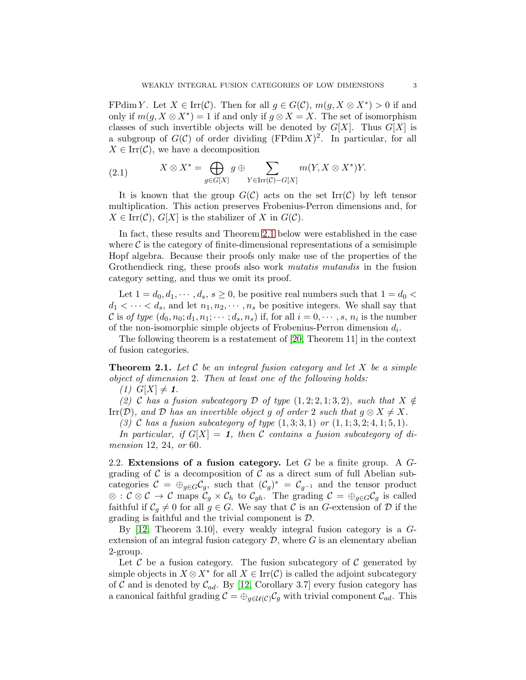FPdim Y. Let  $X \in \text{Irr}(\mathcal{C})$ . Then for all  $g \in G(\mathcal{C})$ ,  $m(g, X \otimes X^*) > 0$  if and only if  $m(g, X \otimes X^*) = 1$  if and only if  $g \otimes X = X$ . The set of isomorphism classes of such invertible objects will be denoted by  $G[X]$ . Thus  $G[X]$  is a subgroup of  $G(\mathcal{C})$  of order dividing (FPdim  $X$ )<sup>2</sup>. In particular, for all  $X \in \text{Irr}(\mathcal{C})$ , we have a decomposition

(2.1) 
$$
X \otimes X^* = \bigoplus_{g \in G[X]} g \oplus \sum_{Y \in \text{Irr}(\mathcal{C}) - G[X]} m(Y, X \otimes X^*)Y.
$$

It is known that the group  $G(\mathcal{C})$  acts on the set Irr( $\mathcal{C}$ ) by left tensor multiplication. This action preserves Frobenius-Perron dimensions and, for  $X \in \text{Irr}(\mathcal{C}), G[X]$  is the stabilizer of X in  $G(\mathcal{C}).$ 

In fact, these results and Theorem [2.1](#page-2-0) below were established in the case where  $\mathcal C$  is the category of finite-dimensional representations of a semisimple Hopf algebra. Because their proofs only make use of the properties of the Grothendieck ring, these proofs also work *mutatis mutandis* in the fusion category setting, and thus we omit its proof.

Let  $1 = d_0, d_1, \dots, d_s, s \ge 0$ , be positive real numbers such that  $1 = d_0 <$  $d_1 < \cdots < d_s$ , and let  $n_1, n_2, \cdots, n_s$  be positive integers. We shall say that C is *of type*  $(d_0, n_0; d_1, n_1; \dots; d_s, n_s)$  if, for all  $i = 0, \dots, s, n_i$  is the number of the non-isomorphic simple objects of Frobenius-Perron dimension  $d_i$ .

The following theorem is a restatement of [\[20,](#page-14-4) Theorem 11] in the context of fusion categories.

<span id="page-2-0"></span>Theorem 2.1. *Let* C *be an integral fusion category and let* X *be a simple object of dimension* 2*. Then at least one of the following holds:*

*(1)*  $G[X] \neq 1$ .

*(2)* C has a fusion subcategory D of type  $(1, 2; 2, 1; 3, 2)$ *, such that*  $X \notin$ Irr(D), and D has an invertible object g of order 2 such that  $g \otimes X \neq X$ .

*(3)* C *has a fusion subcategory of type* (1, 3; 3, 1) *or* (1, 1; 3, 2; 4, 1; 5, 1)*.*

In particular, if  $G[X] = 1$ , then C contains a fusion subcategory of di*mension* 12*,* 24*, or* 60*.*

2.2. Extensions of a fusion category. Let  $G$  be a finite group. A  $G$ grading of  $\mathcal C$  is a decomposition of  $\mathcal C$  as a direct sum of full Abelian subcategories  $C = \bigoplus_{g \in G} C_g$ , such that  $(C_g)^* = C_{g^{-1}}$  and the tensor product ⊗ :  $C \otimes C \to C$  maps  $C_g \times C_h$  to  $C_{gh}$ . The grading  $C = \bigoplus_{g \in G} C_g$  is called faithful if  $C_g \neq 0$  for all  $g \in G$ . We say that C is an G-extension of D if the grading is faithful and the trivial component is D.

By  $[12,$  Theorem 3.10, every weakly integral fusion category is a  $G$ extension of an integral fusion category  $\mathcal{D}$ , where  $G$  is an elementary abelian 2-group.

Let  $\mathcal C$  be a fusion category. The fusion subcategory of  $\mathcal C$  generated by simple objects in  $X \otimes X^*$  for all  $X \in \text{Irr}(\mathcal{C})$  is called the adjoint subcategory of C and is denoted by  $C_{ad}$ . By [\[12,](#page-14-5) Corollary 3.7] every fusion category has a canonical faithful grading  $\mathcal{C} = \bigoplus_{q \in \mathcal{U}(\mathcal{C})} \mathcal{C}_q$  with trivial component  $\mathcal{C}_{ad}$ . This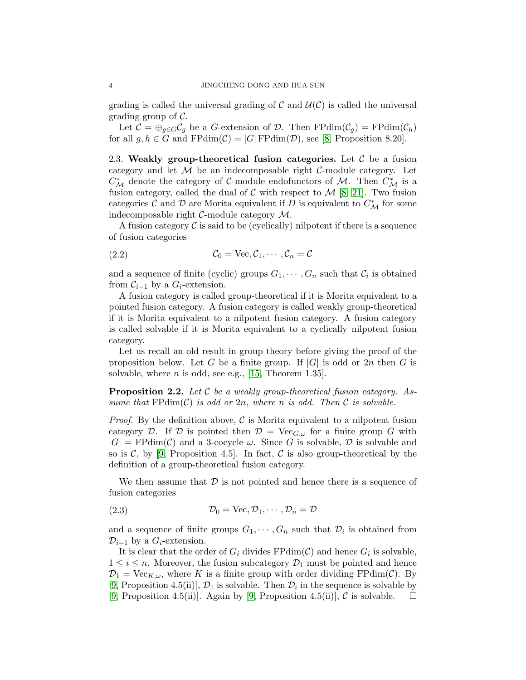grading is called the universal grading of C and  $\mathcal{U}(\mathcal{C})$  is called the universal grading group of  $\mathcal{C}$ .

Let  $C = \bigoplus_{q \in G} C_q$  be a G-extension of D. Then  $\mathrm{FPdim}(\mathcal{C}_q) = \mathrm{FPdim}(\mathcal{C}_h)$ for all  $g, h \in G$  and  $FPdim(\mathcal{C}) = |G|FPdim(\mathcal{D})$ , see [\[8,](#page-14-6) Proposition 8.20].

2.3. Weakly group-theoretical fusion categories. Let  $\mathcal C$  be a fusion category and let  $M$  be an indecomposable right  $C$ -module category. Let  $C^*_{\mathcal{M}}$  denote the category of C-module endofunctors of M. Then  $C^*_{\mathcal{M}}$  is a fusion category, called the dual of  $C$  with respect to  $\mathcal{M}$  [\[8,](#page-14-6) [21\]](#page-14-7). Two fusion categories  $\mathcal C$  and  $\mathcal D$  are Morita equivalent if  $D$  is equivalent to  $C^*_{\mathcal M}$  for some indecomposable right C-module category M.

A fusion category  $\mathcal C$  is said to be (cyclically) nilpotent if there is a sequence of fusion categories

$$
(2.2) \t\t\t \mathcal{C}_0 = \text{Vec}, \mathcal{C}_1, \cdots, \mathcal{C}_n = \mathcal{C}
$$

and a sequence of finite (cyclic) groups  $G_1, \dots, G_n$  such that  $\mathcal{C}_i$  is obtained from  $\mathcal{C}_{i-1}$  by a  $G_i$ -extension.

A fusion category is called group-theoretical if it is Morita equivalent to a pointed fusion category. A fusion category is called weakly group-theoretical if it is Morita equivalent to a nilpotent fusion category. A fusion category is called solvable if it is Morita equivalent to a cyclically nilpotent fusion category.

Let us recall an old result in group theory before giving the proof of the proposition below. Let G be a finite group. If  $|G|$  is odd or  $2n$  then G is solvable, where  $n$  is odd, see e.g., [\[15,](#page-14-8) Theorem 1.35].

<span id="page-3-0"></span>Proposition 2.2. *Let* C *be a weakly group-theoretical fusion category. Assume that*  $FPdim(\mathcal{C})$  *is odd or* 2*n*, where *n is odd.* Then  $\mathcal{C}$  *is solvable.* 

*Proof.* By the definition above,  $\mathcal{C}$  is Morita equivalent to a nilpotent fusion category D. If D is pointed then  $\mathcal{D} = \text{Vec}_{G,\omega}$  for a finite group G with  $|G| = \text{FPdim}(\mathcal{C})$  and a 3-cocycle  $\omega$ . Since G is solvable, D is solvable and so is  $\mathcal{C}$ , by [\[9,](#page-14-0) Proposition 4.5]. In fact,  $\mathcal{C}$  is also group-theoretical by the definition of a group-theoretical fusion category.

We then assume that  $\mathcal D$  is not pointed and hence there is a sequence of fusion categories

(2.3) 
$$
\mathcal{D}_0 = \text{Vec}, \mathcal{D}_1, \cdots, \mathcal{D}_n = \mathcal{D}
$$

and a sequence of finite groups  $G_1, \dots, G_n$  such that  $\mathcal{D}_i$  is obtained from  $\mathcal{D}_{i-1}$  by a  $G_i$ -extension.

It is clear that the order of  $G_i$  divides  $FPdim(\mathcal{C})$  and hence  $G_i$  is solvable,  $1 \leq i \leq n$ . Moreover, the fusion subcategory  $\mathcal{D}_1$  must be pointed and hence  $\mathcal{D}_1 = \text{Vec}_{K,\omega}$ , where K is a finite group with order dividing FPdim(C). By [\[9,](#page-14-0) Proposition 4.5(ii)],  $\mathcal{D}_1$  is solvable. Then  $\mathcal{D}_i$  in the sequence is solvable by [\[9,](#page-14-0) Proposition 4.5(ii)]. Again by [\[9,](#page-14-0) Proposition 4.5(ii)],  $\mathcal C$  is solvable.  $\Box$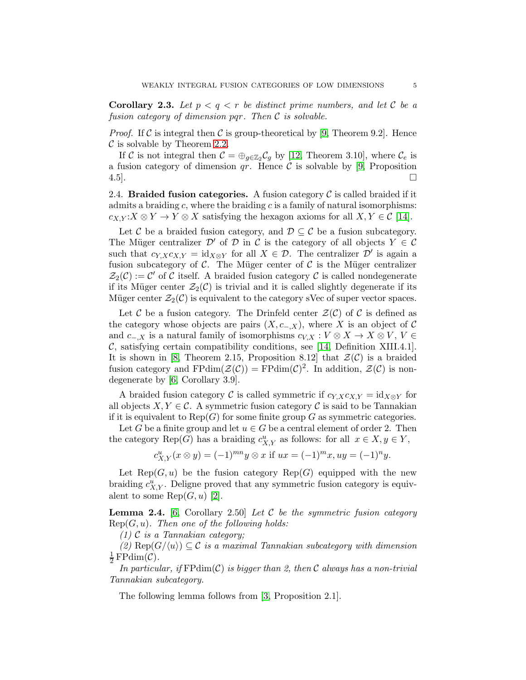<span id="page-4-1"></span>**Corollary 2.3.** Let  $p < q < r$  be distinct prime numbers, and let C be a *fusion category of dimension* pqr*. Then* C *is solvable.*

*Proof.* If C is integral then C is group-theoretical by [\[9,](#page-14-0) Theorem 9.2]. Hence  $\mathcal C$  is solvable by Theorem [2.2.](#page-3-0)

If C is not integral then  $C = \bigoplus_{g \in \mathbb{Z}_2} C_g$  by [\[12,](#page-14-5) Theorem 3.10], where  $C_e$  is a fusion category of dimension  $qr$ . Hence C is solvable by [\[9,](#page-14-0) Proposition 4.5].

2.4. Braided fusion categories. A fusion category  $\mathcal C$  is called braided if it admits a braiding c, where the braiding c is a family of natural isomorphisms:  $c_{X,Y}$ : $X \otimes Y \to Y \otimes X$  satisfying the hexagon axioms for all  $X, Y \in \mathcal{C}$  [\[14\]](#page-14-9).

Let C be a braided fusion category, and  $\mathcal{D} \subseteq \mathcal{C}$  be a fusion subcategory. The Müger centralizer  $\mathcal{D}'$  of  $\mathcal D$  in C is the category of all objects  $Y \in \mathcal{C}$ such that  $c_{Y,X}c_{X,Y} = id_{X\otimes Y}$  for all  $X \in \mathcal{D}$ . The centralizer  $\mathcal{D}'$  is again a fusion subcategory of  $\mathcal{C}$ . The Müger center of  $\mathcal{C}$  is the Müger centralizer  $\mathcal{Z}_2(\mathcal{C}) := \mathcal{C}'$  of  $\overline{\mathcal{C}}$  itself. A braided fusion category  $\mathcal{C}$  is called nondegenerate if its Müger center  $\mathcal{Z}_2(\mathcal{C})$  is trivial and it is called slightly degenerate if its Müger center  $\mathcal{Z}_2(\mathcal{C})$  is equivalent to the category sVec of super vector spaces.

Let C be a fusion category. The Drinfeld center  $\mathcal{Z}(\mathcal{C})$  of C is defined as the category whose objects are pairs  $(X, c_{-,X})$ , where X is an object of C and  $c_{-,X}$  is a natural family of isomorphisms  $c_{V,X}: V \otimes X \to X \otimes V, V \in$  $\mathcal{C}$ , satisfying certain compatibility conditions, see [\[14,](#page-14-9) Definition XIII.4.1]. It is shown in [\[8,](#page-14-6) Theorem 2.15, Proposition 8.12] that  $\mathcal{Z}(\mathcal{C})$  is a braided fusion category and  $FPdim(\mathcal{Z}(\mathcal{C})) = FPdim(\mathcal{C})^2$ . In addition,  $\mathcal{Z}(\mathcal{C})$  is nondegenerate by [\[6,](#page-14-10) Corollary 3.9].

A braided fusion category C is called symmetric if  $c_{Y,X}c_{X,Y} = id_{X\otimes Y}$  for all objects  $X, Y \in \mathcal{C}$ . A symmetric fusion category  $\mathcal C$  is said to be Tannakian if it is equivalent to  $\text{Rep}(G)$  for some finite group G as symmetric categories.

Let G be a finite group and let  $u \in G$  be a central element of order 2. Then the category Rep(G) has a braiding  $c_{X,Y}^u$  as follows: for all  $x \in X, y \in Y$ ,

$$
c_{X,Y}^u(x \otimes y) = (-1)^{mn} y \otimes x \text{ if } ux = (-1)^m x, uy = (-1)^n y.
$$

Let  $\text{Rep}(G, u)$  be the fusion category  $\text{Rep}(G)$  equipped with the new braiding  $c_{X,Y}^u$ . Deligne proved that any symmetric fusion category is equivalent to some  $\text{Rep}(G, u)$  [\[2\]](#page-14-11).

<span id="page-4-0"></span>Lemma 2.4. [\[6,](#page-14-10) Corollary 2.50] *Let* C *be the symmetric fusion category* Rep(G, u)*. Then one of the following holds:*

*(1)* C *is a Tannakian category;*

 $(2)$  Rep $(G/\langle u \rangle) \subseteq \mathcal{C}$  *is a maximal Tannakian subcategory with dimension* 1  $rac{1}{2}$  FPdim(C).

*In particular, if* FPdim(C) *is bigger than 2, then* C *always has a non-trivial Tannakian subcategory.*

The following lemma follows from [\[3,](#page-14-12) Proposition 2.1].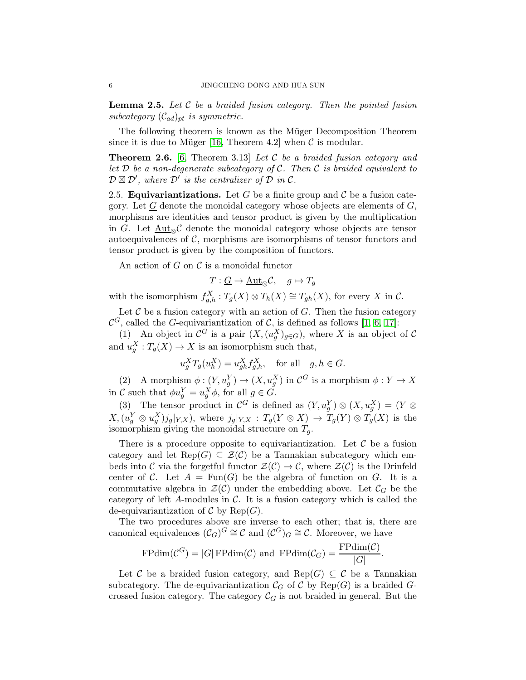<span id="page-5-1"></span>Lemma 2.5. *Let* C *be a braided fusion category. Then the pointed fusion subcategory*  $(\mathcal{C}_{ad})_{pt}$  *is symmetric.* 

The following theorem is known as the Müger Decomposition Theorem since it is due to Müger [\[16,](#page-14-13) Theorem 4.2] when  $\mathcal C$  is modular.

<span id="page-5-0"></span>Theorem 2.6. [\[6,](#page-14-10) Theorem 3.13] *Let* C *be a braided fusion category and let* D *be a non-degenerate subcategory of* C*. Then* C *is braided equivalent to*  $\mathcal{D} \boxtimes \mathcal{D}'$ , where  $\mathcal{D}'$  is the centralizer of  $\mathcal D$  in  $\mathcal C$ .

2.5. **Equivariantizations.** Let G be a finite group and C be a fusion category. Let  $G$  denote the monoidal category whose objects are elements of  $G$ , morphisms are identities and tensor product is given by the multiplication in G. Let  $Aut_{\infty}C$  denote the monoidal category whose objects are tensor autoequivalences of  $C$ , morphisms are isomorphisms of tensor functors and tensor product is given by the composition of functors.

An action of  $G$  on  $\mathcal C$  is a monoidal functor

$$
T: \underline{G} \to \underline{\mathrm{Aut}}_{\otimes} \mathcal{C}, \quad g \mapsto T_g
$$

with the isomorphism  $f_{g,h}^X : T_g(X) \otimes T_h(X) \cong T_{gh}(X)$ , for every X in C.

Let  $C$  be a fusion category with an action of  $G$ . Then the fusion category  $\mathcal{C}^G$ , called the G-equivariantization of  $\mathcal{C}$ , is defined as follows [\[1,](#page-14-14) [6,](#page-14-10) [17\]](#page-14-15):

(1) An object in  $\mathcal{C}^G$  is a pair  $(X, (u_g^X)_{g \in G})$ , where X is an object of  $\mathcal C$ and  $u_g^X: T_g(X) \to X$  is an isomorphism such that,

$$
u_g^X T_g(u_h^X) = u_{gh}^X f_{g,h}^X, \text{ for all } g, h \in G.
$$

(2) A morphism  $\phi: (Y, u_g^Y) \to (X, u_g^X)$  in  $\mathcal{C}^G$  is a morphism  $\phi: Y \to X$ in C such that  $\phi u_g^Y = u_g^X \phi$ , for all  $g \in G$ .

(3) The tensor product in  $\mathcal{C}^G$  is defined as  $(Y, u_g^Y) \otimes (X, u_g^X) = (Y \otimes$  $X,(u_g^Y\otimes u_g^X)j_g|_{Y,X}),$  where  $j_g|_{Y,X}:T_g(Y\otimes X)\to T_g(Y)\otimes T_g(X)$  is the isomorphism giving the monoidal structure on  $T_g$ .

There is a procedure opposite to equivariantization. Let  $\mathcal C$  be a fusion category and let  $\text{Rep}(G) \subseteq \mathcal{Z}(\mathcal{C})$  be a Tannakian subcategory which embeds into C via the forgetful functor  $\mathcal{Z}(\mathcal{C}) \to \mathcal{C}$ , where  $\mathcal{Z}(\mathcal{C})$  is the Drinfeld center of C. Let  $A = \text{Fun}(G)$  be the algebra of function on G. It is a commutative algebra in  $\mathcal{Z}(\mathcal{C})$  under the embedding above. Let  $\mathcal{C}_G$  be the category of left  $A$ -modules in  $C$ . It is a fusion category which is called the de-equivariantization of  $\mathcal C$  by  $\text{Rep}(G)$ .

The two procedures above are inverse to each other; that is, there are canonical equivalences  $(C_G)^G \cong \mathcal{C}$  and  $(\mathcal{C}^G)_G \cong \mathcal{C}$ . Moreover, we have

$$
\mathrm{FPdim}(\mathcal{C}^G) = |G|\mathrm{FPdim}(\mathcal{C}) \text{ and } \mathrm{FPdim}(\mathcal{C}_G) = \frac{\mathrm{FPdim}(\mathcal{C})}{|G|}.
$$

Let C be a braided fusion category, and Rep(G)  $\subseteq$  C be a Tannakian subcategory. The de-equivariantization  $\mathcal{C}_G$  of C by Rep(G) is a braided Gcrossed fusion category. The category  $\mathcal{C}_G$  is not braided in general. But the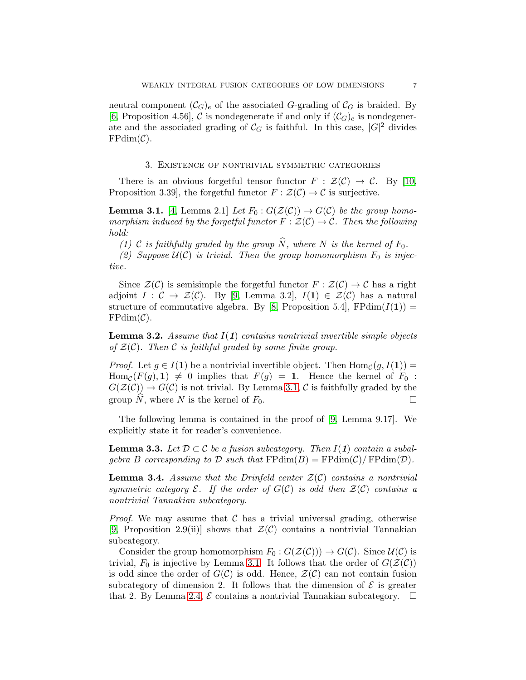neutral component  $(\mathcal{C}_G)_e$  of the associated G-grading of  $\mathcal{C}_G$  is braided. By [\[6,](#page-14-10) Proposition 4.56], C is nondegenerate if and only if  $(C_G)_e$  is nondegenerate and the associated grading of  $\mathcal{C}_G$  is faithful. In this case,  $|G|^2$  divides  $FPdim(\mathcal{C}).$ 

#### 3. Existence of nontrivial symmetric categories

<span id="page-6-0"></span>There is an obvious forgetful tensor functor  $F : \mathcal{Z}(\mathcal{C}) \to \mathcal{C}$ . By [\[10,](#page-14-16) Proposition 3.39], the forgetful functor  $F : \mathcal{Z}(\mathcal{C}) \to \mathcal{C}$  is surjective.

<span id="page-6-1"></span>**Lemma 3.1.** [\[4,](#page-14-17) Lemma 2.1] Let  $F_0: G(\mathcal{Z}(\mathcal{C})) \to G(\mathcal{C})$  be the group homo*morphism induced by the forgetful functor*  $F : \mathcal{Z}(\mathcal{C}) \to \mathcal{C}$ *. Then the following hold:*

*(1)* C *is faithfully graded by the group*  $\widehat{N}$ *, where* N *is the kernel of*  $F_0$ *.* 

(2) Suppose  $U(C)$  *is trivial. Then the group homomorphism*  $F_0$  *is injective.*

Since  $\mathcal{Z}(\mathcal{C})$  is semisimple the forgetful functor  $F : \mathcal{Z}(\mathcal{C}) \to \mathcal{C}$  has a right adjoint  $I: \mathcal{C} \to \mathcal{Z}(\mathcal{C})$ . By [\[9,](#page-14-0) Lemma 3.2],  $I(1) \in \mathcal{Z}(\mathcal{C})$  has a natural structure of commutative algebra. By [\[8,](#page-14-6) Proposition 5.4],  $FPdim(I(1)) =$  $FPdim(\mathcal{C}).$ 

<span id="page-6-3"></span>Lemma 3.2. *Assume that* I(1) *contains nontrivial invertible simple objects of* Z(C)*. Then* C *is faithful graded by some finite group.*

*Proof.* Let  $g \in I(1)$  be a nontrivial invertible object. Then  $\text{Hom}_{\mathcal{C}}(g, I(1)) =$  $\text{Hom}_{\mathcal{C}}(F(g), 1) \neq 0$  implies that  $F(g) = 1$ . Hence the kernel of  $F_0$ :  $G(\mathcal{Z}(\mathcal{C})) \to G(\mathcal{C})$  is not trivial. By Lemma [3.1,](#page-6-1) C is faithfully graded by the group N, where N is the kernel of  $F_0$ .

The following lemma is contained in the proof of [\[9,](#page-14-0) Lemma 9.17]. We explicitly state it for reader's convenience.

<span id="page-6-2"></span>**Lemma 3.3.** Let  $D \subset C$  be a fusion subcategory. Then  $I(1)$  contain a subal*gebra* B *corresponding to* D *such that*  $\text{FPdim}(B) = \text{FPdim}(\mathcal{C})/\text{FPdim}(\mathcal{D})$ .

Lemma 3.4. *Assume that the Drinfeld center* Z(C) *contains a nontrivial symmetric category*  $\mathcal{E}$ *. If the order of*  $G(\mathcal{C})$  *is odd then*  $\mathcal{Z}(\mathcal{C})$  *contains a nontrivial Tannakian subcategory.*

*Proof.* We may assume that  $\mathcal C$  has a trivial universal grading, otherwise [\[9,](#page-14-0) Proposition 2.9(ii)] shows that  $\mathcal{Z}(\mathcal{C})$  contains a nontrivial Tannakian subcategory.

Consider the group homomorphism  $F_0 : G(\mathcal{Z}(\mathcal{C}))) \to G(\mathcal{C})$ . Since  $\mathcal{U}(\mathcal{C})$  is trivial,  $F_0$  is injective by Lemma [3.1.](#page-6-1) It follows that the order of  $G(\mathcal{Z}(\mathcal{C}))$ is odd since the order of  $G(\mathcal{C})$  is odd. Hence,  $\mathcal{Z}(\mathcal{C})$  can not contain fusion subcategory of dimension 2. It follows that the dimension of  $\mathcal E$  is greater that 2. By Lemma [2.4,](#page-4-0)  $\mathcal E$  contains a nontrivial Tannakian subcategory.  $\Box$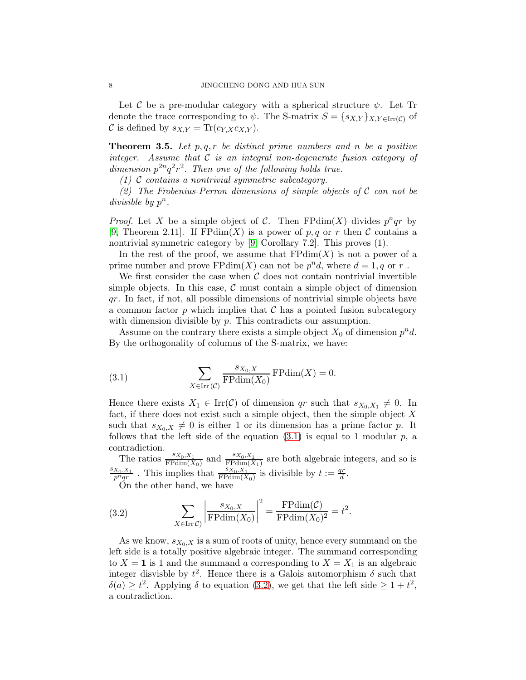Let C be a pre-modular category with a spherical structure  $\psi$ . Let Tr denote the trace corresponding to  $\psi$ . The S-matrix  $S = \{s_{X,Y}\}_{X,Y \in \text{Irr}(\mathcal{C})}$  of C is defined by  $s_{X,Y} = \text{Tr}(c_{Y,X} c_{X,Y}).$ 

<span id="page-7-2"></span>Theorem 3.5. *Let* p, q, r *be distinct prime numbers and* n *be a positive integer. Assume that* C *is an integral non-degenerate fusion category of* dimension  $p^{2n}q^2r^2$ . Then one of the following holds true.

*(1)* C *contains a nontrivial symmetric subcategory.*

*(2) The Frobenius-Perron dimensions of simple objects of* C *can not be* divisible by  $p^n$ .

*Proof.* Let X be a simple object of C. Then FPdim(X) divides  $p^nqr$  by [\[9,](#page-14-0) Theorem 2.11]. If  $\mathrm{FPdim}(X)$  is a power of p, q or r then C contains a nontrivial symmetric category by [\[9,](#page-14-0) Corollary 7.2]. This proves (1).

In the rest of the proof, we assume that  $FPdim(X)$  is not a power of a prime number and prove  $\text{FPdim}(X)$  can not be  $p^n d$ , where  $d = 1, q$  or r.

We first consider the case when  $\mathcal C$  does not contain nontrivial invertible simple objects. In this case,  $\mathcal C$  must contain a simple object of dimension qr. In fact, if not, all possible dimensions of nontrivial simple objects have a common factor p which implies that  $\mathcal C$  has a pointed fusion subcategory with dimension divisible by p. This contradicts our assumption.

Assume on the contrary there exists a simple object  $X_0$  of dimension  $p^n d$ . By the orthogonality of columns of the S-matrix, we have:

<span id="page-7-0"></span>(3.1) 
$$
\sum_{X \in \text{Irr}(\mathcal{C})} \frac{s_{X_0, X}}{\text{FPdim}(X_0)} \text{FPdim}(X) = 0.
$$

Hence there exists  $X_1 \in \text{Irr}(\mathcal{C})$  of dimension qr such that  $s_{X_0, X_1} \neq 0$ . In fact, if there does not exist such a simple object, then the simple object  $X$ such that  $s_{X_0,X} \neq 0$  is either 1 or its dimension has a prime factor p. It follows that the left side of the equation  $(3.1)$  is equal to 1 modular p, a contradiction.

The ratios  $\frac{s_{X_0,X_1}}{\mathrm{FPdim}(X_0)}$  and  $\frac{s_{X_0,X_1}}{\mathrm{FPdim}(X_1)}$  are both algebraic integers, and so is  $s_{X_0,X_1}$  $\frac{X_0, X_1}{p^nqr}$ . This implies that  $\frac{sX_0, X_1}{\text{FPdim}(X_0)}$  is divisible by  $t := \frac{qr}{d}$  $\frac{d}{dt}$  .

On the other hand, we have

<span id="page-7-1"></span>(3.2) 
$$
\sum_{X \in \text{Irr }\mathcal{C}} \left| \frac{s_{X_0,X}}{\text{FPdim}(X_0)} \right|^2 = \frac{\text{FPdim}(\mathcal{C})}{\text{FPdim}(X_0)^2} = t^2.
$$

As we know,  $s_{X_0,X}$  is a sum of roots of unity, hence every summand on the left side is a totally positive algebraic integer. The summand corresponding to  $X = 1$  is 1 and the summand a corresponding to  $X = X_1$  is an algebraic integer disvisble by  $t^2$ . Hence there is a Galois automorphism  $\delta$  such that  $\delta(a) \geq t^2$ . Applying  $\delta$  to equation [\(3.2\)](#page-7-1), we get that the left side  $\geq 1+t^2$ , a contradiction.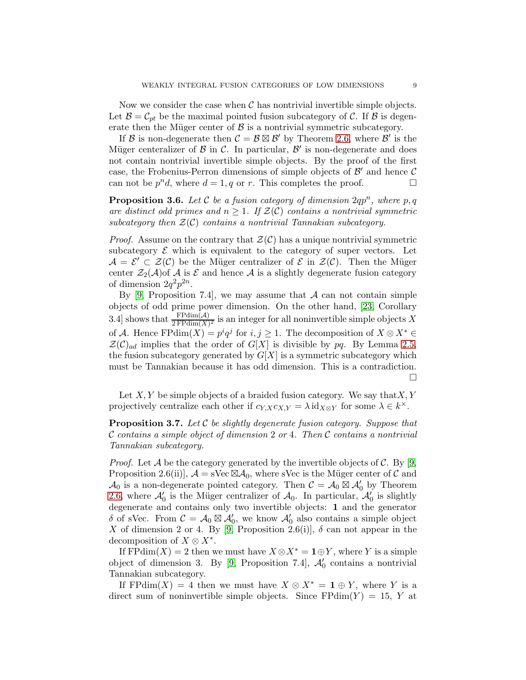Now we consider the case when  $\mathcal C$  has nontrivial invertible simple objects. Let  $\mathcal{B} = \mathcal{C}_{pt}$  be the maximal pointed fusion subcategory of C. If  $\mathcal{B}$  is degenerate then the Müger center of  $\beta$  is a nontrivial symmetric subcategory.

If B is non-degenerate then  $C = \mathcal{B} \boxtimes \mathcal{B}'$  by Theorem [2.6,](#page-5-0) where  $\mathcal{B}'$  is the Müger centeralizer of  $\beta$  in  $\beta$ . In particular,  $\beta'$  is non-degenerate and does not contain nontrivial invertible simple objects. By the proof of the first case, the Frobenius-Perron dimensions of simple objects of  $\mathcal{B}'$  and hence  $\mathcal{C}$ can not be  $p^n d$ , where  $d = 1, q$  or r. This completes the proof.

<span id="page-8-1"></span>**Proposition 3.6.** Let  $C$  be a fusion category of dimension  $2qp^n$ , where  $p, q$ are distinct odd primes and  $n \geq 1$ . If  $\mathcal{Z}(\mathcal{C})$  contains a nontrivial symmetric *subcategory then* Z(C) *contains a nontrivial Tannakian subcategory.*

*Proof.* Assume on the contrary that  $\mathcal{Z}(\mathcal{C})$  has a unique nontrivial symmetric subcategory  $\mathcal E$  which is equivalent to the category of super vectors. Let  $\mathcal{A} = \mathcal{E}' \subset \mathcal{Z}(\mathcal{C})$  be the Müger centralizer of  $\mathcal{E}$  in  $\mathcal{Z}(\mathcal{C})$ . Then the Müger center  $\mathcal{Z}_2(\mathcal{A})$  of A is E and hence A is a slightly degenerate fusion category of dimension  $2q^2p^{2n}$ .

By [\[9,](#page-14-0) Proposition 7.4], we may assume that  $A$  can not contain simple objects of odd prime power dimension. On the other hand, [\[23,](#page-14-18) Corollary 3.4] shows that  $\frac{\text{FPdim}(\mathcal{A})}{2\text{FPdim}(X)^2}$  is an integer for all noninvertible simple objects X of A. Hence  $\text{FPdim}(X) = p^i q^j$  for  $i, j \geq 1$ . The decomposition of  $X \otimes X^* \in$  $\mathcal{Z}(\mathcal{C})_{ad}$  implies that the order of  $G[X]$  is divisible by pq. By Lemma [2.5,](#page-5-1) the fusion subcategory generated by  $G[X]$  is a symmetric subcategory which must be Tannakian because it has odd dimension. This is a contradiction. П

Let  $X, Y$  be simple objects of a braided fusion category. We say that  $X, Y$ projectively centralize each other if  $c_{Y,X}c_{X,Y} = \lambda \mathrm{id}_{X \otimes Y}$  for some  $\lambda \in k^{\times}$ .

<span id="page-8-0"></span>Proposition 3.7. *Let* C *be slightly degenerate fusion category. Suppose that* C *contains a simple object of dimension* 2 *or* 4*. Then* C *contains a nontrivial Tannakian subcategory.*

*Proof.* Let  $\mathcal A$  be the category generated by the invertible objects of  $\mathcal C$ . By [\[9,](#page-14-0) Proposition 2.6(ii)],  $\mathcal{A} =$  sVec  $\boxtimes \mathcal{A}_0$ , where sVec is the Müger center of C and  $\mathcal{A}_0$  is a non-degenerate pointed category. Then  $\mathcal{C} = \mathcal{A}_0 \boxtimes \mathcal{A}'_0$  by Theorem [2.6,](#page-5-0) where  $\mathcal{A}'_0$  is the Müger centralizer of  $\mathcal{A}_0$ . In particular,  $\mathcal{A}'_0$  is slightly degenerate and contains only two invertible objects: 1 and the generator δ of sVec. From  $C = A_0 \boxtimes A'_0$ , we know  $A'_0$  also contains a simple object X of dimension 2 or 4. By [\[9,](#page-14-0) Proposition 2.6(i)],  $\delta$  can not appear in the decomposition of  $X \otimes X^*$ .

If FPdim(X) = 2 then we must have  $X \otimes X^* = \mathbf{1} \oplus Y$ , where Y is a simple object of dimension 3. By [\[9,](#page-14-0) Proposition 7.4],  $\mathcal{A}'_0$  contains a nontrivial Tannakian subcategory.

If FPdim(X) = 4 then we must have  $X \otimes X^* = \mathbf{1} \oplus Y$ , where Y is a direct sum of noninvertible simple objects. Since  $FPdim(Y) = 15$ , Y at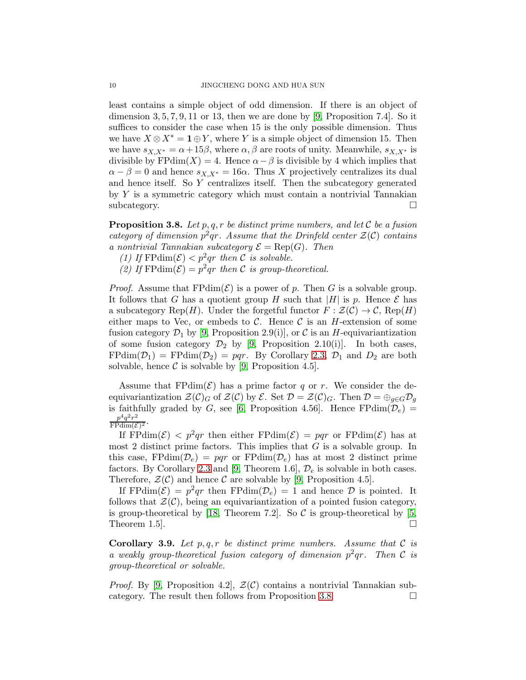least contains a simple object of odd dimension. If there is an object of dimension  $3, 5, 7, 9, 11$  or 13, then we are done by [\[9,](#page-14-0) Proposition 7.4]. So it suffices to consider the case when 15 is the only possible dimension. Thus we have  $X \otimes X^* = \mathbf{1} \oplus Y$ , where Y is a simple object of dimension 15. Then we have  $s_{X,X^*} = \alpha + 15\beta$ , where  $\alpha, \beta$  are roots of unity. Meanwhile,  $s_{X,X^*}$  is divisible by FPdim(X) = 4. Hence  $\alpha - \beta$  is divisible by 4 which implies that  $\alpha - \beta = 0$  and hence  $s_{X,X^*} = 16\alpha$ . Thus X projectively centralizes its dual and hence itself. So Y centralizes itself. Then the subcategory generated by  $Y$  is a symmetric category which must contain a nontrivial Tannakian subcategory.

<span id="page-9-0"></span>Proposition 3.8. *Let* p, q, r *be distinct prime numbers, and let* C *be a fusion* category of dimension  $p^2qr$ . Assume that the Drinfeld center  $\mathcal{Z}(\mathcal{C})$  contains *a nontrivial Tannakian subcategory*  $\mathcal{E} = \text{Rep}(G)$ . Then

- *(1)* If  $\text{FPdim}(\mathcal{E}) < p^2qr$  then C is solvable.
- (2) If  $\text{FPdim}(\mathcal{E}) = p^2qr$  then C *is group-theoretical.*

*Proof.* Assume that  $FPdim(\mathcal{E})$  is a power of p. Then G is a solvable group. It follows that G has a quotient group H such that  $|H|$  is p. Hence E has a subcategory Rep(H). Under the forgetful functor  $F : \mathcal{Z}(\mathcal{C}) \to \mathcal{C}$ , Rep(H) either maps to Vec, or embeds to C. Hence C is an H-extension of some fusion category  $\mathcal{D}_1$  by [\[9,](#page-14-0) Proposition 2.9(i)], or C is an H-equivariantization of some fusion category  $\mathcal{D}_2$  by [\[9,](#page-14-0) Proposition 2.10(i)]. In both cases,  $FPdim(\mathcal{D}_1) = FPdim(\mathcal{D}_2) = pqr$ . By Corollary [2.3,](#page-4-1)  $\mathcal{D}_1$  and  $\mathcal{D}_2$  are both solvable, hence  $\mathcal C$  is solvable by [\[9,](#page-14-0) Proposition 4.5].

Assume that  $FPdim(\mathcal{E})$  has a prime factor q or r. We consider the deequivariantization  $\mathcal{Z}(\mathcal{C})_G$  of  $\mathcal{Z}(\mathcal{C})$  by  $\mathcal{E}$ . Set  $\mathcal{D} = \mathcal{Z}(\mathcal{C})_G$ . Then  $\mathcal{D} = \bigoplus_{g \in G} \mathcal{D}_g$ is faithfully graded by G, see [\[6,](#page-14-10) Proposition 4.56]. Hence  $FPdim(\mathcal{D}_e) =$  $p^4q^2r^2$  $\frac{p \cdot q \cdot r^2}{\text{FPdim}(\mathcal{E})^2}$ .

If  $\text{FPdim}(\mathcal{E}) \leq p^2qr$  then either  $\text{FPdim}(\mathcal{E}) = pqr$  or  $\text{FPdim}(\mathcal{E})$  has at most 2 distinct prime factors. This implies that  $G$  is a solvable group. In this case, FPdim( $\mathcal{D}_e$ ) = pqr or FPdim( $\mathcal{D}_e$ ) has at most 2 distinct prime factors. By Corollary [2.3](#page-4-1) and [\[9,](#page-14-0) Theorem 1.6],  $\mathcal{D}_e$  is solvable in both cases. Therefore,  $\mathcal{Z}(\mathcal{C})$  and hence  $\mathcal C$  are solvable by [\[9,](#page-14-0) Proposition 4.5].

If FPdim( $\mathcal{E}$ ) =  $p^2qr$  then FPdim( $\mathcal{D}_e$ ) = 1 and hence  $\mathcal D$  is pointed. It follows that  $\mathcal{Z}(\mathcal{C})$ , being an equivariantization of a pointed fusion category, is group-theoretical by [\[18,](#page-14-19) Theorem 7.2]. So  $\mathcal C$  is group-theoretical by [\[5,](#page-14-20) Theorem 1.5.

**Corollary 3.9.** Let  $p, q, r$  be distinct prime numbers. Assume that C is *a weakly group-theoretical fusion category of dimension* p 2 qr*. Then* C *is group-theoretical or solvable.*

*Proof.* By [\[9,](#page-14-0) Proposition 4.2],  $\mathcal{Z}(\mathcal{C})$  contains a nontrivial Tannakian subcategory. The result then follows from Proposition [3.8.](#page-9-0)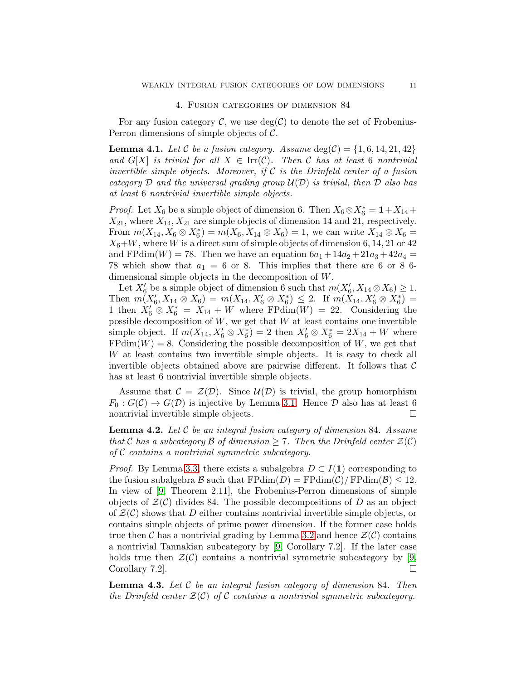#### 4. Fusion categories of dimension 84

<span id="page-10-0"></span>For any fusion category  $\mathcal{C}$ , we use  $deg(\mathcal{C})$  to denote the set of Frobenius-Perron dimensions of simple objects of C.

<span id="page-10-1"></span>**Lemma 4.1.** Let C be a fusion category. Assume  $\deg(\mathcal{C}) = \{1, 6, 14, 21, 42\}$ *and*  $G[X]$  *is trivial for all*  $X \in \text{Irr}(\mathcal{C})$ *. Then*  $\mathcal{C}$  *has at least* 6 *nontrivial invertible simple objects. Moreover, if* C *is the Drinfeld center of a fusion category* D *and the universal grading group* U(D) *is trivial, then* D *also has at least* 6 *nontrivial invertible simple objects.*

*Proof.* Let  $X_6$  be a simple object of dimension 6. Then  $X_6 \otimes X_6^* = \mathbf{1} + X_{14} +$  $X_{21}$ , where  $X_{14}$ ,  $X_{21}$  are simple objects of dimension 14 and 21, respectively. From  $m(X_{14}, X_6 \otimes X_6^*) = m(X_6, X_{14} \otimes X_6) = 1$ , we can write  $X_{14} \otimes X_6 =$  $X_6+W$ , where W is a direct sum of simple objects of dimension 6, 14, 21 or 42 and FPdim(W) = 78. Then we have an equation  $6a_1 + 14a_2 + 21a_3 + 42a_4 =$ 78 which show that  $a_1 = 6$  or 8. This implies that there are 6 or 8 6dimensional simple objects in the decomposition of W.

Let  $X'_6$  be a simple object of dimension 6 such that  $m(X'_6, X_{14} \otimes X_6) \geq 1$ . Then  $m(X'_6, X_{14} \otimes X_6) = m(X_{14}, X'_6 \otimes X_6^*) \leq 2$ . If  $m(X_{14}, X'_6 \otimes X_6^*) =$ 1 then  $X'_6 \otimes X^*_6 = X_{14} + W$  where FPdim(W) = 22. Considering the possible decomposition of  $W$ , we get that  $W$  at least contains one invertible simple object. If  $m(X_{14}, X'_6 \otimes X^*_{6}) = 2$  then  $X'_6 \otimes X^*_{6} = 2X_{14} + W$  where  $FPdim(W) = 8$ . Considering the possible decomposition of W, we get that W at least contains two invertible simple objects. It is easy to check all invertible objects obtained above are pairwise different. It follows that  $\mathcal C$ has at least 6 nontrivial invertible simple objects.

Assume that  $\mathcal{C} = \mathcal{Z}(\mathcal{D})$ . Since  $\mathcal{U}(\mathcal{D})$  is trivial, the group homorphism  $F_0: G(\mathcal{C}) \to G(\mathcal{D})$  is injective by Lemma [3.1.](#page-6-1) Hence  $\mathcal D$  also has at least 6 nontrivial invertible simple objects.

<span id="page-10-2"></span>Lemma 4.2. *Let* C *be an integral fusion category of dimension* 84*. Assume that* C has a subcategory B of dimension  $\geq 7$ . Then the Drinfeld center  $\mathcal{Z}(\mathcal{C})$ *of* C *contains a nontrivial symmetric subcategory.*

*Proof.* By Lemma [3.3,](#page-6-2) there exists a subalgebra  $D \subset I(1)$  corresponding to the fusion subalgebra B such that  $\text{FPdim}(D) = \text{FPdim}(\mathcal{C})/\text{FPdim}(\mathcal{B}) \leq 12$ . In view of [\[9,](#page-14-0) Theorem 2.11], the Frobenius-Perron dimensions of simple objects of  $\mathcal{Z}(\mathcal{C})$  divides 84. The possible decompositions of D as an object of  $\mathcal{Z}(\mathcal{C})$  shows that D either contains nontrivial invertible simple objects, or contains simple objects of prime power dimension. If the former case holds true then C has a nontrivial grading by Lemma [3.2](#page-6-3) and hence  $\mathcal{Z}(\mathcal{C})$  contains a nontrivial Tannakian subcategory by [\[9,](#page-14-0) Corollary 7.2]. If the later case holds true then  $\mathcal{Z}(\mathcal{C})$  contains a nontrivial symmetric subcategory by [\[9,](#page-14-0) Corollary 7.2.

<span id="page-10-3"></span>Lemma 4.3. *Let* C *be an integral fusion category of dimension* 84*. Then the Drinfeld center*  $\mathcal{Z}(\mathcal{C})$  *of*  $\mathcal{C}$  *contains a nontrivial symmetric subcategory.*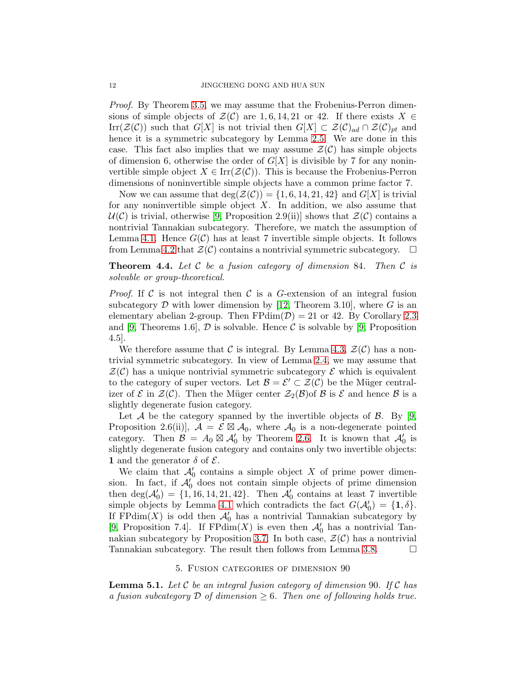*Proof.* By Theorem [3.5,](#page-7-2) we may assume that the Frobenius-Perron dimensions of simple objects of  $\mathcal{Z}(\mathcal{C})$  are 1, 6, 14, 21 or 42. If there exists  $X \in$ Irr( $\mathcal{Z}(\mathcal{C})$ ) such that  $G[X]$  is not trivial then  $G[X] \subset \mathcal{Z}(\mathcal{C})_{ad} \cap \mathcal{Z}(\mathcal{C})_{pt}$  and hence it is a symmetric subcategory by Lemma [2.5.](#page-5-1) We are done in this case. This fact also implies that we may assume  $\mathcal{Z}(\mathcal{C})$  has simple objects of dimension 6, otherwise the order of  $G[X]$  is divisible by 7 for any noninvertible simple object  $X \in \text{Irr}(\mathcal{Z}(\mathcal{C}))$ . This is because the Frobenius-Perron dimensions of noninvertible simple objects have a common prime factor 7.

Now we can assume that  $\deg(\mathcal{Z}(\mathcal{C})) = \{1, 6, 14, 21, 42\}$  and  $G[X]$  is trivial for any noninvertible simple object  $X$ . In addition, we also assume that  $U(\mathcal{C})$  is trivial, otherwise [\[9,](#page-14-0) Proposition 2.9(ii)] shows that  $\mathcal{Z}(\mathcal{C})$  contains a nontrivial Tannakian subcategory. Therefore, we match the assumption of Lemma [4.1.](#page-10-1) Hence  $G(\mathcal{C})$  has at least 7 invertible simple objects. It follows from Lemma [4.2](#page-10-2) that  $\mathcal{Z}(\mathcal{C})$  contains a nontrivial symmetric subcategory.  $\Box$ 

<span id="page-11-2"></span>Theorem 4.4. *Let* C *be a fusion category of dimension* 84*. Then* C *is solvable or group-theoretical.*

*Proof.* If C is not integral then C is a G-extension of an integral fusion subcategory  $\mathcal D$  with lower dimension by [\[12,](#page-14-5) Theorem 3.10], where G is an elementary abelian 2-group. Then  $FPdim(\mathcal{D}) = 21$  or 42. By Corollary [2.3](#page-4-1) and [\[9,](#page-14-0) Theorems 1.6],  $\mathcal D$  is solvable. Hence  $\mathcal C$  is solvable by [9, Proposition 4.5].

We therefore assume that C is integral. By Lemma [4.3,](#page-10-3)  $\mathcal{Z}(\mathcal{C})$  has a nontrivial symmetric subcategory. In view of Lemma [2.4,](#page-4-0) we may assume that  $\mathcal{Z}(\mathcal{C})$  has a unique nontrivial symmetric subcategory  $\mathcal E$  which is equivalent to the category of super vectors. Let  $\mathcal{B} = \mathcal{E}' \subset \mathcal{Z}(\mathcal{C})$  be the Müger centralizer of  $\mathcal E$  in  $\mathcal Z(\mathcal C)$ . Then the Müger center  $\mathcal Z_2(\mathcal B)$  of  $\mathcal B$  is  $\mathcal E$  and hence  $\mathcal B$  is a slightly degenerate fusion category.

Let A be the category spanned by the invertible objects of  $\mathcal{B}$ . By [\[9,](#page-14-0) Proposition 2.6(ii)],  $A = \mathcal{E} \boxtimes A_0$ , where  $A_0$  is a non-degenerate pointed category. Then  $\mathcal{B} = A_0 \boxtimes \mathcal{A}'_0$  by Theorem [2.6.](#page-5-0) It is known that  $\mathcal{A}'_0$  is slightly degenerate fusion category and contains only two invertible objects: 1 and the generator  $\delta$  of  $\mathcal{E}$ .

We claim that  $\mathcal{A}'_0$  contains a simple object X of prime power dimension. In fact, if  $\mathcal{A}'_0$  does not contain simple objects of prime dimension then  $\text{deg}(\mathcal{A}'_0) = \{1, 16, 14, 21, 42\}$ . Then  $\mathcal{A}'_0$  contains at least 7 invertible simple objects by Lemma [4.1](#page-10-1) which contradicts the fact  $G(\mathcal{A}'_0) = \{1, \delta\}.$ If  $FPdim(X)$  is odd then  $\mathcal{A}'_0$  has a nontrivial Tannakian subcategory by [\[9,](#page-14-0) Proposition 7.4]. If  $\mathrm{FPdim}(X)$  is even then  $\mathcal{A}'_0$  has a nontrivial Tan-nakian subcategory by Proposition [3.7.](#page-8-0) In both case,  $\mathcal{Z}(\mathcal{C})$  has a nontrivial Tannakian subcategory. The result then follows from Lemma [3.8.](#page-9-0)

#### 5. Fusion categories of dimension 90

<span id="page-11-1"></span><span id="page-11-0"></span>Lemma 5.1. *Let* C *be an integral fusion category of dimension* 90*. If* C *has a fusion subcategory*  $D$  *of dimension*  $\geq 6$ *. Then one of following holds true.*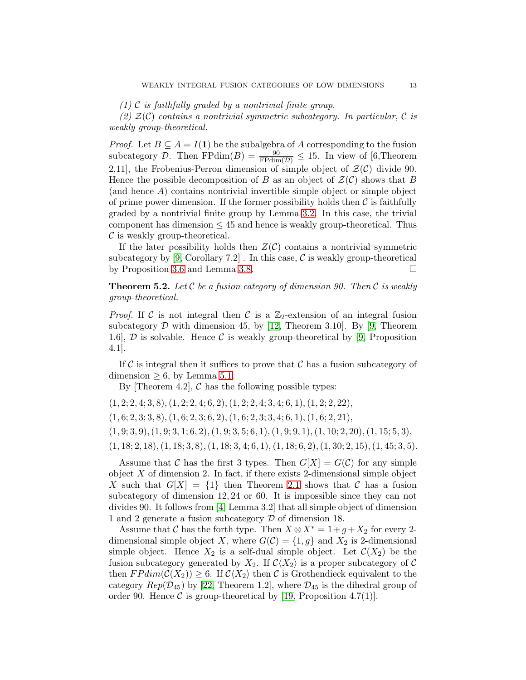*(1)* C *is faithfully graded by a nontrivial finite group.*

*(2)* Z(C) *contains a nontrivial symmetric subcategory. In particular,* C *is weakly group-theoretical.*

*Proof.* Let  $B \subseteq A = I(1)$  be the subalgebra of A corresponding to the fusion subcategory D. Then  $FPdim(B) = \frac{90}{FPdim(D)} \leq 15$ . In view of [6,Theorem 2.11], the Frobenius-Perron dimension of simple object of  $\mathcal{Z}(\mathcal{C})$  divide 90. Hence the possible decomposition of B as an object of  $\mathcal{Z}(\mathcal{C})$  shows that B (and hence A) contains nontrivial invertible simple object or simple object of prime power dimension. If the former possibility holds then  $\mathcal C$  is faithfully graded by a nontrivial finite group by Lemma [3.2.](#page-6-3) In this case, the trivial component has dimension  $\leq 45$  and hence is weakly group-theoretical. Thus  $\mathcal C$  is weakly group-theoretical.

If the later possibility holds then  $Z(\mathcal{C})$  contains a nontrivial symmetric subcategory by  $[9, Corollary 7.2]$ . In this case, C is weakly group-theoretical by Proposition [3.6](#page-8-1) and Lemma [3.8.](#page-9-0)

<span id="page-12-0"></span>Theorem 5.2. *Let* C *be a fusion category of dimension 90. Then* C *is weakly group-theoretical.*

*Proof.* If C is not integral then C is a  $\mathbb{Z}_2$ -extension of an integral fusion subcategory  $D$  with dimension 45, by [\[12,](#page-14-5) Theorem 3.10]. By [\[9,](#page-14-0) Theorem 1.6],  $\mathcal{D}$  is solvable. Hence  $\mathcal C$  is weakly group-theoretical by [\[9,](#page-14-0) Proposition 4.1].

If C is integral then it suffices to prove that C has a fusion subcategory of  $dimension > 6$ , by Lemma [5.1.](#page-11-1)

By Theorem 4.2,  $\mathcal C$  has the following possible types:

 $(1, 2; 2, 4; 3, 8), (1, 2; 2, 4; 6, 2), (1, 2; 2, 4; 3, 4; 6, 1), (1, 2; 2, 22),$ 

 $(1, 6; 2, 3; 3, 8), (1, 6; 2, 3; 6, 2), (1, 6; 2, 3; 3, 4; 6, 1), (1, 6; 2, 21),$ 

 $(1, 9; 3, 9), (1, 9; 3, 1; 6, 2), (1, 9; 3, 5; 6, 1), (1, 9; 9, 1), (1, 10; 2, 20), (1, 15; 5, 3),$ 

 $(1, 18; 2, 18), (1, 18; 3, 8), (1, 18; 3, 4; 6, 1), (1, 18; 6, 2), (1, 30; 2, 15), (1, 45; 3, 5).$ 

Assume that C has the first 3 types. Then  $G[X] = G(C)$  for any simple object  $X$  of dimension 2. In fact, if there exists 2-dimensional simple object X such that  $G[X] = \{1\}$  then Theorem [2.1](#page-2-0) shows that C has a fusion subcategory of dimension 12, 24 or 60. It is impossible since they can not divides 90. It follows from [\[4,](#page-14-17) Lemma 3.2] that all simple object of dimension 1 and 2 generate a fusion subcategory D of dimension 18.

Assume that C has the forth type. Then  $X \otimes X^* = 1 + g + X_2$  for every 2dimensional simple object X, where  $G(\mathcal{C}) = \{1, g\}$  and  $X_2$  is 2-dimensional simple object. Hence  $X_2$  is a self-dual simple object. Let  $\mathcal{C}(X_2)$  be the fusion subcategory generated by  $X_2$ . If  $\mathcal{C}\langle X_2\rangle$  is a proper subcategory of C then  $FPdim(\mathcal{C}(X_2)) \geq 6$ . If  $\mathcal{C}(X_2)$  then C is Grothendieck equivalent to the category  $Rep(\mathcal{D}_{45})$  by [\[22,](#page-14-21) Theorem 1.2], where  $\mathcal{D}_{45}$  is the dihedral group of order 90. Hence  $\mathcal C$  is group-theoretical by [\[19,](#page-14-22) Proposition 4.7(1)].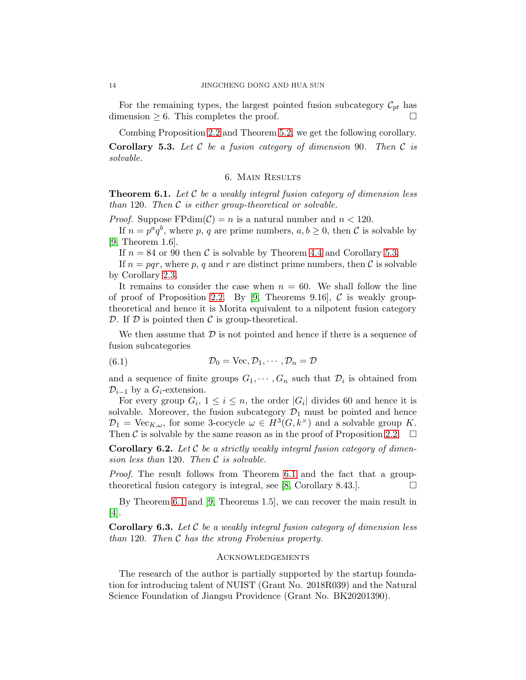For the remaining types, the largest pointed fusion subcategory  $\mathcal{C}_{pt}$  has dimension  $\geq 6$ . This completes the proof.

Combing Proposition [2.2](#page-3-0) and Theorem [5.2,](#page-12-0) we get the following corollary.

<span id="page-13-2"></span><span id="page-13-1"></span>Corollary 5.3. *Let* C *be a fusion category of dimension* 90*. Then* C *is solvable.*

### 6. Main Results

<span id="page-13-0"></span>Theorem 6.1. *Let* C *be a weakly integral fusion category of dimension less than* 120*. Then* C *is either group-theoretical or solvable.*

*Proof.* Suppose FPdim( $C$ ) = n is a natural number and  $n < 120$ .

If  $n = p^a q^b$ , where p, q are prime numbers,  $a, b \geq 0$ , then C is solvable by [\[9,](#page-14-0) Theorem 1.6].

If  $n = 84$  or 90 then C is solvable by Theorem [4.4](#page-11-2) and Corollary [5.3.](#page-13-2)

If  $n = pqr$ , where p, q and r are distinct prime numbers, then C is solvable by Corollary [2.3.](#page-4-1)

It remains to consider the case when  $n = 60$ . We shall follow the line of proof of Proposition [2.2.](#page-3-0) By [\[9,](#page-14-0) Theorems 9.16],  $\mathcal C$  is weakly grouptheoretical and hence it is Morita equivalent to a nilpotent fusion category  $D$ . If  $D$  is pointed then  $C$  is group-theoretical.

We then assume that  $\mathcal D$  is not pointed and hence if there is a sequence of fusion subcategories

(6.1) 
$$
\mathcal{D}_0 = \text{Vec}, \mathcal{D}_1, \cdots, \mathcal{D}_n = \mathcal{D}
$$

and a sequence of finite groups  $G_1, \dots, G_n$  such that  $\mathcal{D}_i$  is obtained from  $\mathcal{D}_{i-1}$  by a  $G_i$ -extension.

For every group  $G_i$ ,  $1 \leq i \leq n$ , the order  $|G_i|$  divides 60 and hence it is solvable. Moreover, the fusion subcategory  $\mathcal{D}_1$  must be pointed and hence  $\mathcal{D}_1 = \text{Vec}_{K,\omega}$ , for some 3-cocycle  $\omega \in H^3(G, k^{\times})$  and a solvable group K. Then C is solvable by the same reason as in the proof of Proposition [2.2.](#page-3-0)  $\Box$ 

Corollary 6.2. *Let* C *be a strictly weakly integral fusion category of dimension less than* 120*. Then* C *is solvable.*

*Proof.* The result follows from Theorem [6.1](#page-13-0) and the fact that a group-theoretical fusion category is integral, see [\[8,](#page-14-6) Corollary 8.43.].  $\Box$ 

By Theorem [6.1](#page-13-0) and [\[9,](#page-14-0) Theorems 1.5], we can recover the main result in [\[4\]](#page-14-17).

Corollary 6.3. *Let* C *be a weakly integral fusion category of dimension less than* 120*. Then* C *has the strong Frobenius property.*

### **ACKNOWLEDGEMENTS**

The research of the author is partially supported by the startup foundation for introducing talent of NUIST (Grant No. 2018R039) and the Natural Science Foundation of Jiangsu Providence (Grant No. BK20201390).